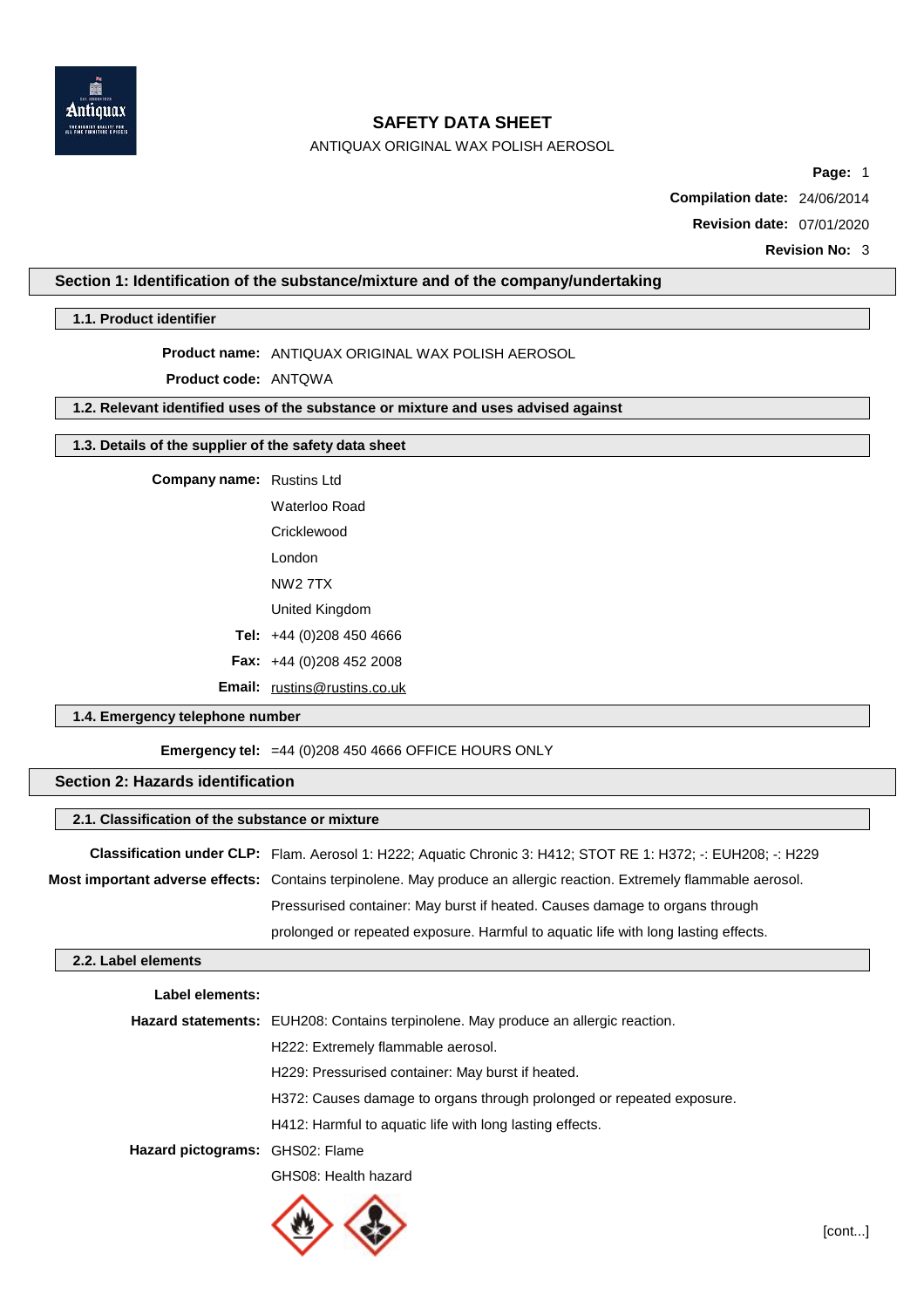

ANTIQUAX ORIGINAL WAX POLISH AEROSOL

**Page:** 1

**Compilation date:** 24/06/2014

**Revision date:** 07/01/2020

**Revision No:** 3

## **Section 1: Identification of the substance/mixture and of the company/undertaking**

**1.1. Product identifier**

**Product name:** ANTIQUAX ORIGINAL WAX POLISH AEROSOL

**Product code:** ANTQWA

# **1.2. Relevant identified uses of the substance or mixture and uses advised against**

## **1.3. Details of the supplier of the safety data sheet**

**Company name:** Rustins Ltd

Waterloo Road **Cricklewood** London NW2 7TX

United Kingdom

**Tel:** +44 (0)208 450 4666

**Fax:** +44 (0)208 452 2008

**Email:** [rustins@rustins.co.uk](mailto:rustins@rustins.co.uk)

### **1.4. Emergency telephone number**

**Emergency tel:** =44 (0)208 450 4666 OFFICE HOURS ONLY

### **Section 2: Hazards identification**

#### **2.1. Classification of the substance or mixture**

**Classification under CLP:** Flam. Aerosol 1: H222; Aquatic Chronic 3: H412; STOT RE 1: H372; -: EUH208; -: H229 **Most important adverse effects:** Contains terpinolene. May produce an allergic reaction. Extremely flammable aerosol.

Pressurised container: May burst if heated. Causes damage to organs through

prolonged or repeated exposure. Harmful to aquatic life with long lasting effects.

### **2.2. Label elements**

| Label elements:                 |                                                                                    |  |
|---------------------------------|------------------------------------------------------------------------------------|--|
|                                 | Hazard statements: EUH208: Contains terpinolene. May produce an allergic reaction. |  |
|                                 | H222: Extremely flammable aerosol.                                                 |  |
|                                 | H229: Pressurised container: May burst if heated.                                  |  |
|                                 | H372: Causes damage to organs through prolonged or repeated exposure.              |  |
|                                 | H412: Harmful to aguatic life with long lasting effects.                           |  |
| Hazard pictograms: GHS02: Flame |                                                                                    |  |
|                                 | GHS08: Health hazard                                                               |  |

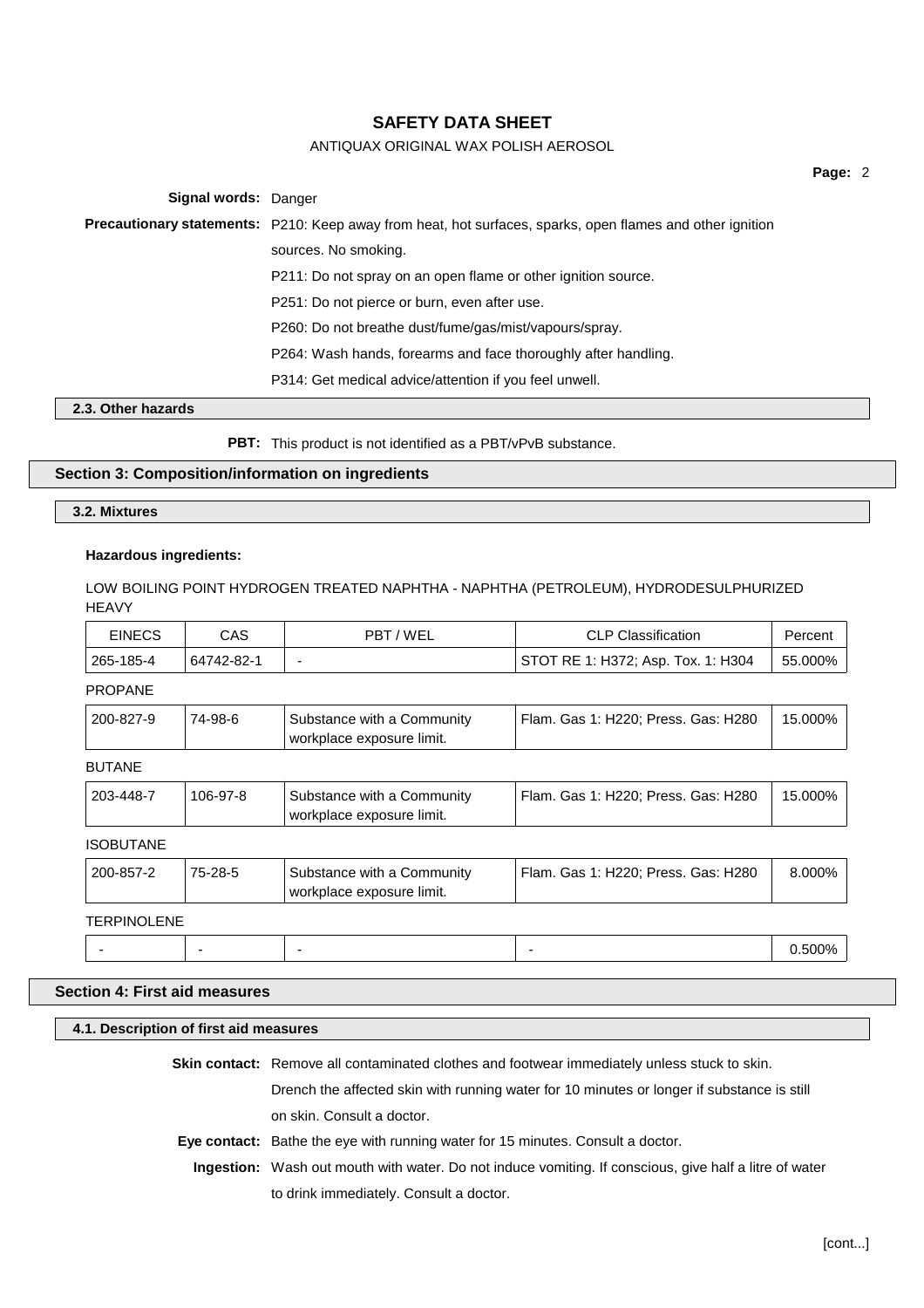# ANTIQUAX ORIGINAL WAX POLISH AEROSOL

**Page:** 2

**Signal words:** Danger **Precautionary statements:** P210: Keep away from heat, hot surfaces, sparks, open flames and other ignition sources. No smoking. P211: Do not spray on an open flame or other ignition source. P251: Do not pierce or burn, even after use. P260: Do not breathe dust/fume/gas/mist/vapours/spray. P264: Wash hands, forearms and face thoroughly after handling. P314: Get medical advice/attention if you feel unwell.

## **2.3. Other hazards**

**PBT:** This product is not identified as a PBT/vPvB substance.

### **Section 3: Composition/information on ingredients**

### **3.2. Mixtures**

### **Hazardous ingredients:**

LOW BOILING POINT HYDROGEN TREATED NAPHTHA - NAPHTHA (PETROLEUM), HYDRODESULPHURIZED **HFAVY** 

| EINECS    | CAS        | PBT/WEL | <b>CLP Classification</b>            | Percent |
|-----------|------------|---------|--------------------------------------|---------|
| 265-185-4 | 64742-82-1 |         | ' STOT RE 1: H372; Asp. Tox. 1: H304 | 55.000% |

## PROPANE

| workplace exposure limit. | 200-827-9 | 74-98-6 | Substance with a Community | Flam, Gas 1: H220: Press, Gas: H280 | 15.000% |
|---------------------------|-----------|---------|----------------------------|-------------------------------------|---------|
|---------------------------|-----------|---------|----------------------------|-------------------------------------|---------|

BUTANE

| <b>BUTANE</b>      |          |                                                         |                                     |         |
|--------------------|----------|---------------------------------------------------------|-------------------------------------|---------|
| 203-448-7          | 106-97-8 | Substance with a Community<br>workplace exposure limit. | Flam. Gas 1: H220; Press. Gas: H280 | 15.000% |
| <b>ISOBUTANE</b>   |          |                                                         |                                     |         |
| 200-857-2          | 75-28-5  | Substance with a Community<br>workplace exposure limit. | Flam. Gas 1: H220; Press. Gas: H280 | 8.000%  |
| <b>TERPINOLENE</b> |          |                                                         |                                     |         |
|                    |          |                                                         |                                     | 0.500%  |

## **Section 4: First aid measures**

#### **4.1. Description of first aid measures**

**Skin contact:** Remove all contaminated clothes and footwear immediately unless stuck to skin.

Drench the affected skin with running water for 10 minutes or longer if substance is still on skin. Consult a doctor.

- **Eye contact:** Bathe the eye with running water for 15 minutes. Consult a doctor.
- **Ingestion:** Wash out mouth with water. Do not induce vomiting. If conscious, give half a litre of water to drink immediately. Consult a doctor.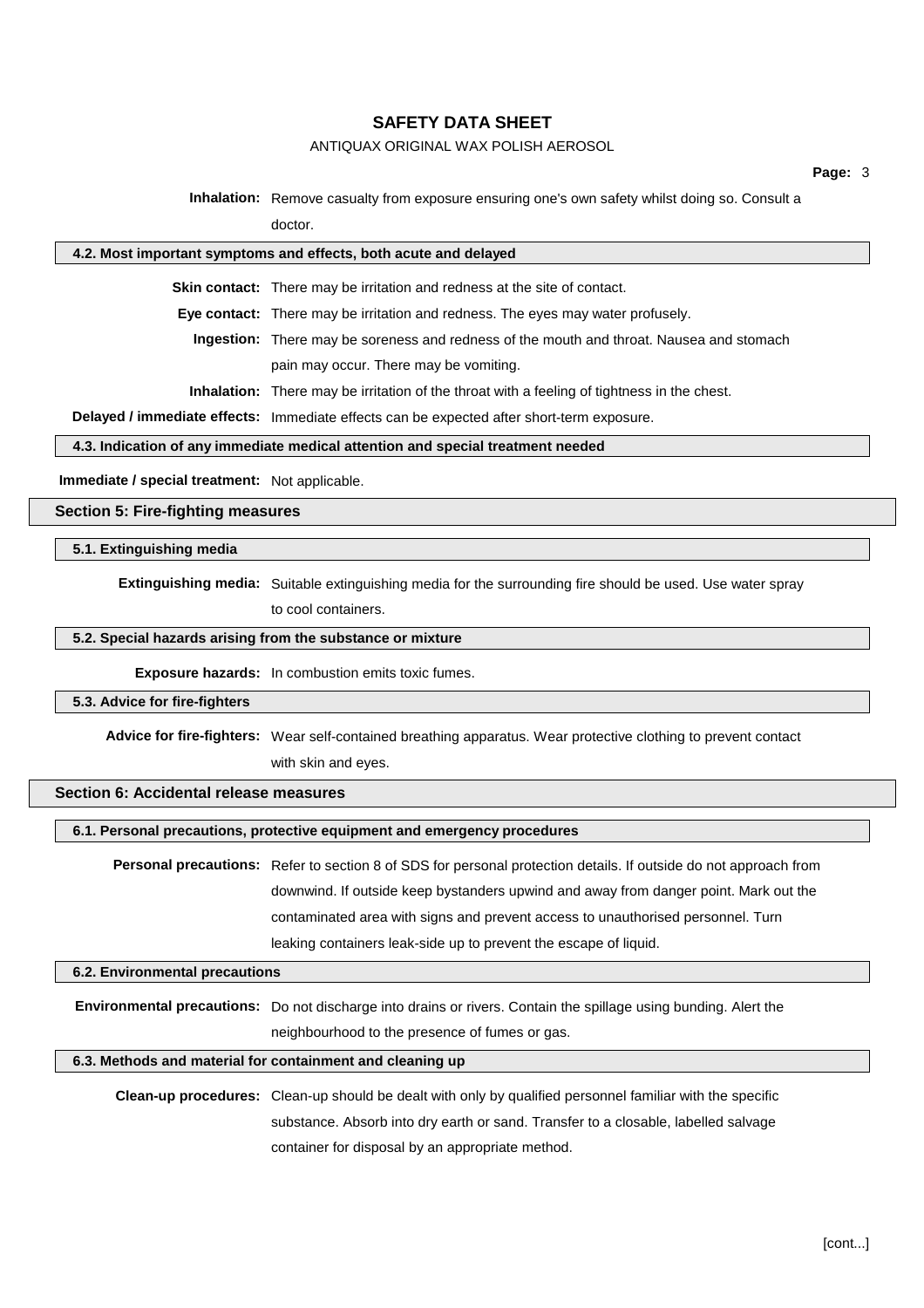# ANTIQUAX ORIGINAL WAX POLISH AEROSOL

**Inhalation:** Remove casualty from exposure ensuring one's own safety whilst doing so. Consult a

doctor.

#### **4.2. Most important symptoms and effects, both acute and delayed**

**Skin contact:** There may be irritation and redness at the site of contact.

**Eye contact:** There may be irritation and redness. The eyes may water profusely.

**Ingestion:** There may be soreness and redness of the mouth and throat. Nausea and stomach pain may occur. There may be vomiting.

**Inhalation:** There may be irritation of the throat with a feeling of tightness in the chest.

**Delayed / immediate effects:** Immediate effects can be expected after short-term exposure.

### **4.3. Indication of any immediate medical attention and special treatment needed**

**Immediate / special treatment:** Not applicable.

**Section 5: Fire-fighting measures**

### **5.1. Extinguishing media**

**Extinguishing media:** Suitable extinguishing media for the surrounding fire should be used. Use water spray

to cool containers.

## **5.2. Special hazards arising from the substance or mixture**

**Exposure hazards:** In combustion emits toxic fumes.

#### **5.3. Advice for fire-fighters**

**Advice for fire-fighters:** Wear self-contained breathing apparatus. Wear protective clothing to prevent contact with skin and eyes.

## **Section 6: Accidental release measures**

**6.1. Personal precautions, protective equipment and emergency procedures**

**Personal precautions:** Refer to section 8 of SDS for personal protection details. If outside do not approach from downwind. If outside keep bystanders upwind and away from danger point. Mark out the contaminated area with signs and prevent access to unauthorised personnel. Turn leaking containers leak-side up to prevent the escape of liquid.

### **6.2. Environmental precautions**

**Environmental precautions:** Do not discharge into drains or rivers. Contain the spillage using bunding. Alert the neighbourhood to the presence of fumes or gas.

## **6.3. Methods and material for containment and cleaning up**

**Clean-up procedures:** Clean-up should be dealt with only by qualified personnel familiar with the specific substance. Absorb into dry earth or sand. Transfer to a closable, labelled salvage container for disposal by an appropriate method.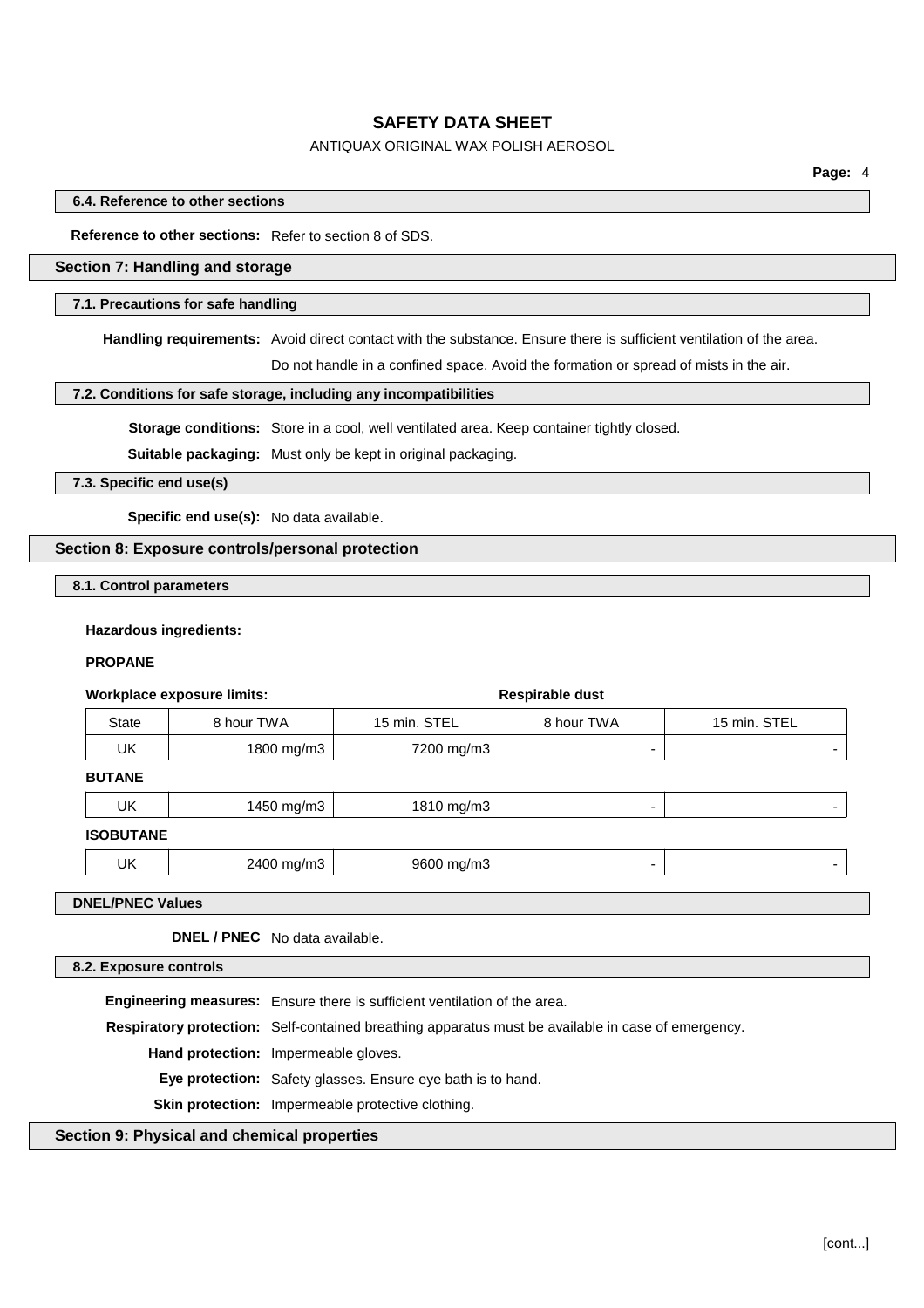# ANTIQUAX ORIGINAL WAX POLISH AEROSOL

### **6.4. Reference to other sections**

### **Reference to other sections:** Refer to section 8 of SDS.

# **Section 7: Handling and storage**

#### **7.1. Precautions for safe handling**

**Handling requirements:** Avoid direct contact with the substance. Ensure there is sufficient ventilation of the area.

Do not handle in a confined space. Avoid the formation or spread of mists in the air.

### **7.2. Conditions for safe storage, including any incompatibilities**

**Storage conditions:** Store in a cool, well ventilated area. Keep container tightly closed.

**Suitable packaging:** Must only be kept in original packaging.

**7.3. Specific end use(s)**

**Specific end use(s):** No data available.

### **Section 8: Exposure controls/personal protection**

**8.1. Control parameters**

#### **Hazardous ingredients:**

### **PROPANE**

|                                | <b>Workplace exposure limits:</b> | Respirable dust |            |              |
|--------------------------------|-----------------------------------|-----------------|------------|--------------|
| <b>State</b>                   | 8 hour TWA                        | 15 min. STEL    | 8 hour TWA | 15 min. STEL |
| <b>UK</b>                      | 1800 mg/m3                        | 7200 mg/m3      | ۰          |              |
| <b>BUTANE</b>                  |                                   |                 |            |              |
| <b>UK</b>                      | 1450 mg/m3                        | 1810 mg/m3      | ۰          | ۰            |
| <b>ISOBUTANE</b>               |                                   |                 |            |              |
| <b>UK</b>                      | 2400 mg/m3                        | 9600 mg/m3      | ۰          | ۰            |
| <b>DNEL/PNEC Values</b>        |                                   |                 |            |              |
| DNEL / PNEC No data available. |                                   |                 |            |              |
| 8.2. Exposure controls         |                                   |                 |            |              |

**Engineering measures:** Ensure there is sufficient ventilation of the area. **Respiratory protection:** Self-contained breathing apparatus must be available in case of emergency. **Hand protection:** Impermeable gloves. **Eye protection:** Safety glasses. Ensure eye bath is to hand. **Skin protection:** Impermeable protective clothing.

## **Section 9: Physical and chemical properties**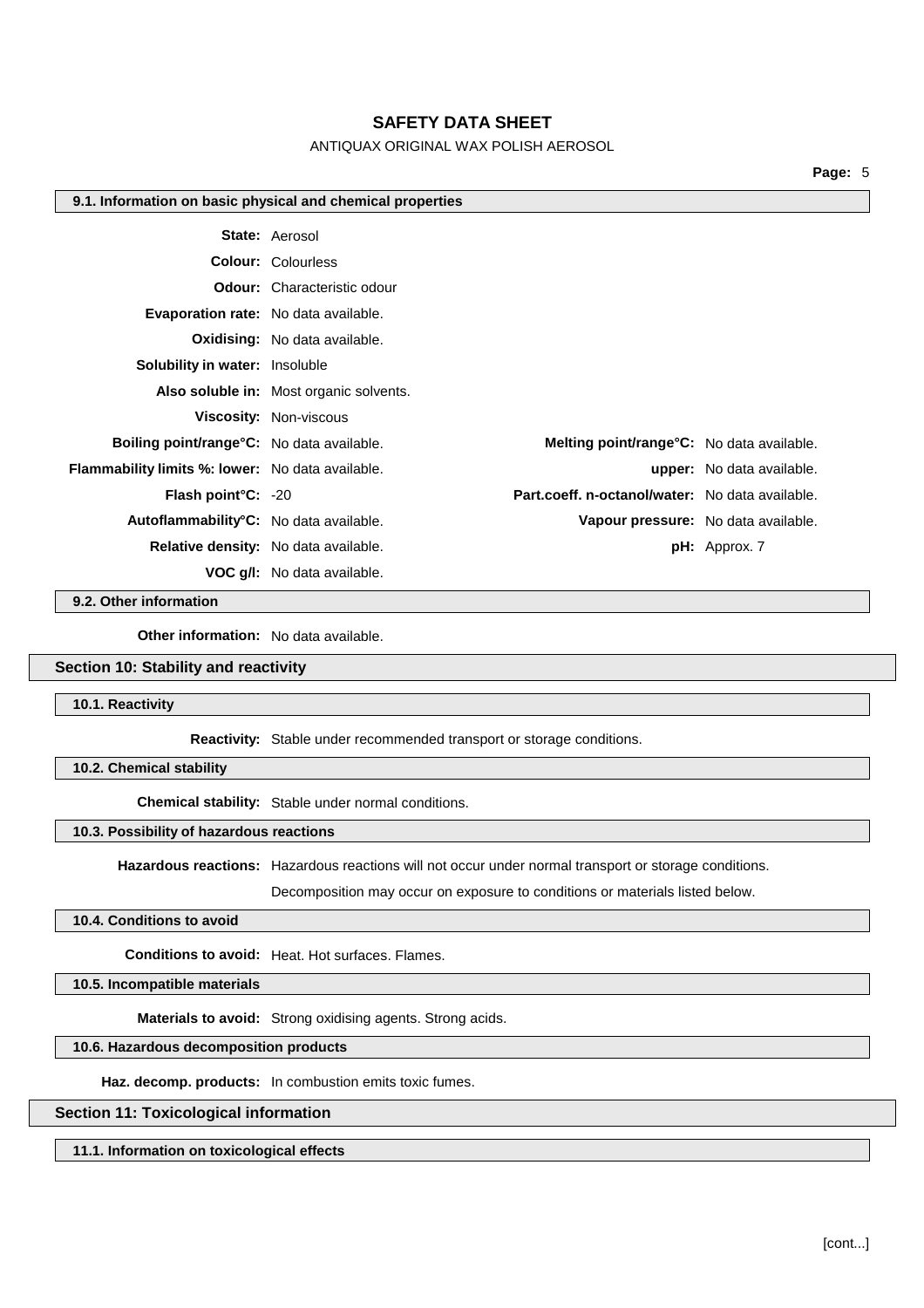# ANTIQUAX ORIGINAL WAX POLISH AEROSOL

**Page:** 5

#### **9.1. Information on basic physical and chemical properties**

|                                                         | <b>State: Aerosol</b>                           |                                     |
|---------------------------------------------------------|-------------------------------------------------|-------------------------------------|
|                                                         | <b>Colour: Colourless</b>                       |                                     |
|                                                         | <b>Odour:</b> Characteristic odour              |                                     |
|                                                         | <b>Evaporation rate:</b> No data available.     |                                     |
|                                                         | <b>Oxidising:</b> No data available.            |                                     |
| <b>Solubility in water: Insoluble</b>                   |                                                 |                                     |
|                                                         | Also soluble in: Most organic solvents.         |                                     |
|                                                         | <b>Viscosity: Non-viscous</b>                   |                                     |
| <b>Boiling point/range °C:</b> No data available.       | Melting point/range°C: No data available.       |                                     |
| <b>Flammability limits %: lower:</b> No data available. |                                                 | <b>upper:</b> No data available.    |
| Flash point°C: -20                                      | Part.coeff. n-octanol/water: No data available. |                                     |
| Autoflammability <sup>°</sup> C: No data available.     |                                                 | Vapour pressure: No data available. |
|                                                         | Relative density: No data available.            | pH: Approx. 7                       |
|                                                         | <b>VOC q/l:</b> No data available.              |                                     |

**9.2. Other information**

**Other information:** No data available.

#### **Section 10: Stability and reactivity**

**10.1. Reactivity**

**Reactivity:** Stable under recommended transport or storage conditions.

**10.2. Chemical stability**

**Chemical stability:** Stable under normal conditions.

### **10.3. Possibility of hazardous reactions**

**Hazardous reactions:** Hazardous reactions will not occur under normal transport or storage conditions.

Decomposition may occur on exposure to conditions or materials listed below.

## **10.4. Conditions to avoid**

**Conditions to avoid:** Heat. Hot surfaces. Flames.

**10.5. Incompatible materials**

**Materials to avoid:** Strong oxidising agents. Strong acids.

# **10.6. Hazardous decomposition products**

**Haz. decomp. products:** In combustion emits toxic fumes.

# **Section 11: Toxicological information**

**11.1. Information on toxicological effects**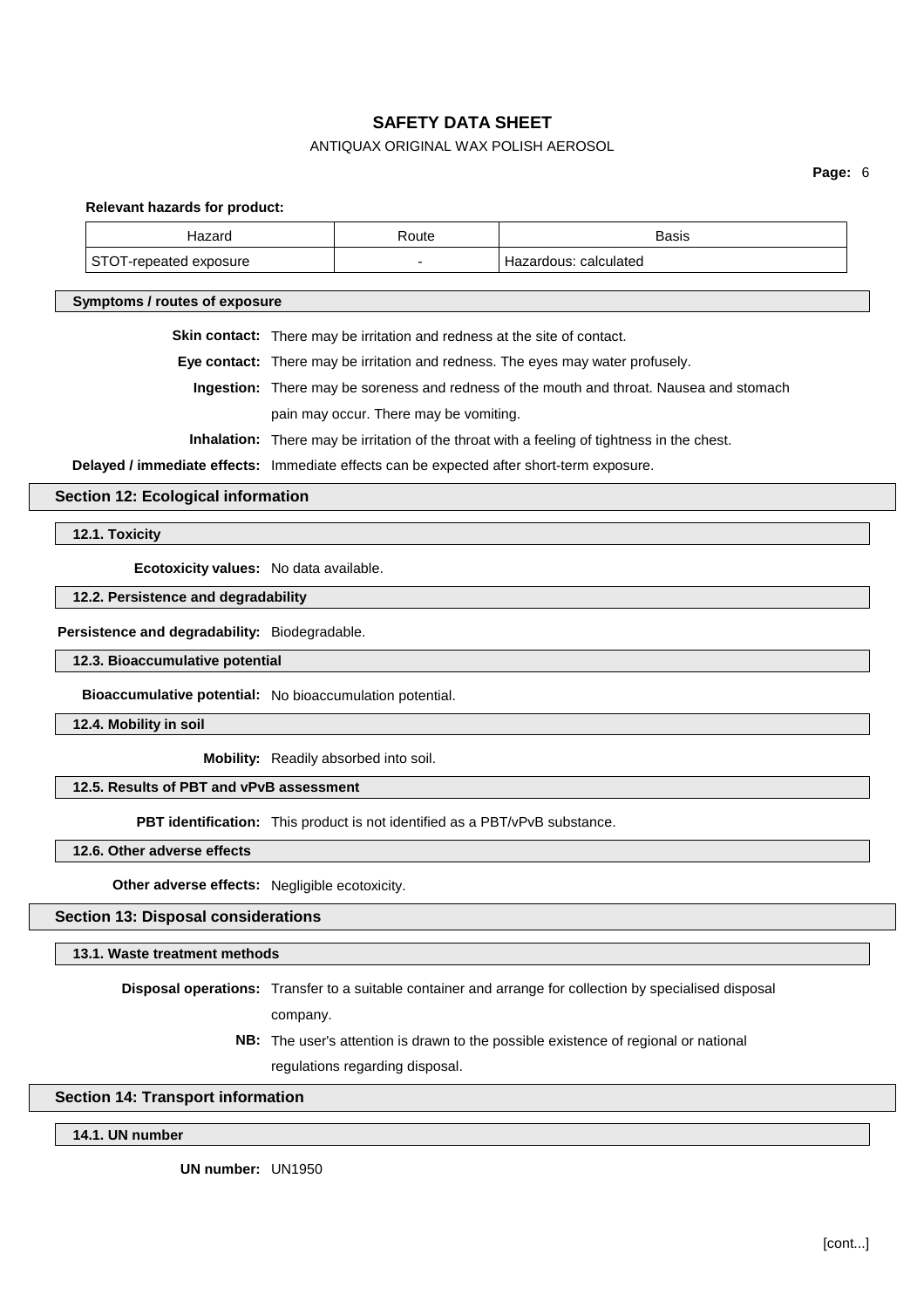# ANTIQUAX ORIGINAL WAX POLISH AEROSOL

**Page:** 6

**Relevant hazards for product:**

| Hazard                 | Route  | <b>Basis</b>            |
|------------------------|--------|-------------------------|
| STOT-repeated exposure | $\sim$ | ' Hazardous: calculated |
|                        |        |                         |

**Symptoms / routes of exposure**

**Skin contact:** There may be irritation and redness at the site of contact.

**Eye contact:** There may be irritation and redness. The eyes may water profusely.

**Ingestion:** There may be soreness and redness of the mouth and throat. Nausea and stomach pain may occur. There may be vomiting.

**Inhalation:** There may be irritation of the throat with a feeling of tightness in the chest.

**Delayed / immediate effects:** Immediate effects can be expected after short-term exposure.

**Section 12: Ecological information**

**12.1. Toxicity**

**Ecotoxicity values:** No data available.

**12.2. Persistence and degradability**

#### **Persistence and degradability:** Biodegradable.

**12.3. Bioaccumulative potential**

**Bioaccumulative potential:** No bioaccumulation potential.

**12.4. Mobility in soil**

**Mobility:** Readily absorbed into soil.

# **12.5. Results of PBT and vPvB assessment**

**PBT identification:** This product is not identified as a PBT/vPvB substance.

**12.6. Other adverse effects**

**Other adverse effects:** Negligible ecotoxicity.

### **Section 13: Disposal considerations**

**13.1. Waste treatment methods**

**Disposal operations:** Transfer to a suitable container and arrange for collection by specialised disposal company.

> **NB:** The user's attention is drawn to the possible existence of regional or national regulations regarding disposal.

### **Section 14: Transport information**

**14.1. UN number**

**UN number:** UN1950